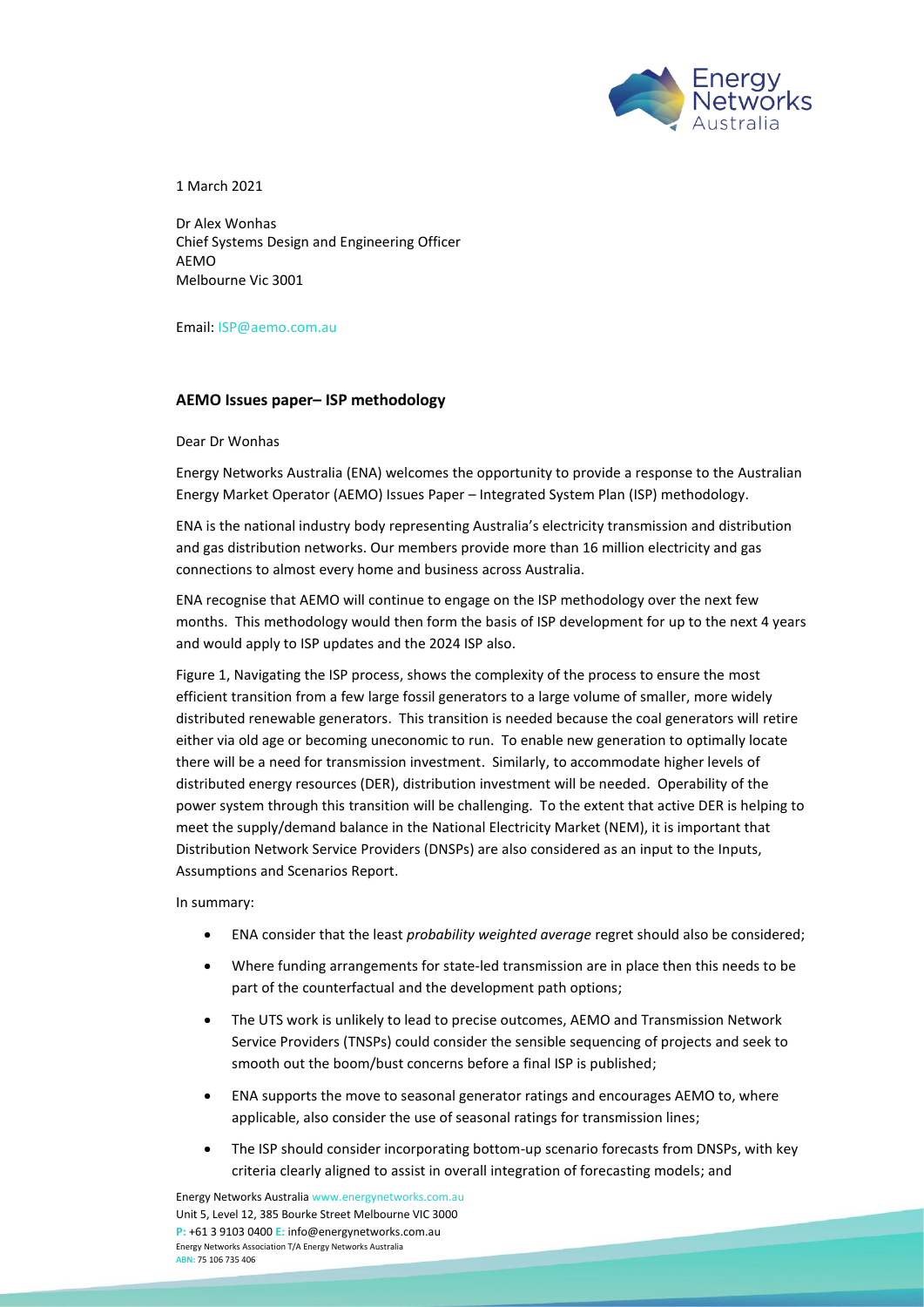

1 March 2021

Dr Alex Wonhas Chief Systems Design and Engineering Officer AEMO Melbourne Vic 3001

Email[: ISP@aemo.com.au](mailto:ISP@aemo.com.au)

# **AEMO Issues paper– ISP methodology**

Dear Dr Wonhas

Energy Networks Australia (ENA) welcomes the opportunity to provide a response to the Australian Energy Market Operator (AEMO) Issues Paper – Integrated System Plan (ISP) methodology.

ENA is the national industry body representing Australia's electricity transmission and distribution and gas distribution networks. Our members provide more than 16 million electricity and gas connections to almost every home and business across Australia.

ENA recognise that AEMO will continue to engage on the ISP methodology over the next few months. This methodology would then form the basis of ISP development for up to the next 4 years and would apply to ISP updates and the 2024 ISP also.

Figure 1, Navigating the ISP process, shows the complexity of the process to ensure the most efficient transition from a few large fossil generators to a large volume of smaller, more widely distributed renewable generators. This transition is needed because the coal generators will retire either via old age or becoming uneconomic to run. To enable new generation to optimally locate there will be a need for transmission investment. Similarly, to accommodate higher levels of distributed energy resources (DER), distribution investment will be needed. Operability of the power system through this transition will be challenging. To the extent that active DER is helping to meet the supply/demand balance in the National Electricity Market (NEM), it is important that Distribution Network Service Providers (DNSPs) are also considered as an input to the Inputs, Assumptions and Scenarios Report.

In summary:

- ENA consider that the least *probability weighted average* regret should also be considered;
- Where funding arrangements for state-led transmission are in place then this needs to be part of the counterfactual and the development path options;
- The UTS work is unlikely to lead to precise outcomes, AEMO and Transmission Network Service Providers (TNSPs) could consider the sensible sequencing of projects and seek to smooth out the boom/bust concerns before a final ISP is published;
- ENA supports the move to seasonal generator ratings and encourages AEMO to, where applicable, also consider the use of seasonal ratings for transmission lines;
- The ISP should consider incorporating bottom-up scenario forecasts from DNSPs, with key criteria clearly aligned to assist in overall integration of forecasting models; and

Energy Networks Australi[a www.energynetworks.com.au](http://www.energynetworks.com.au/) Unit 5, Level 12, 385 Bourke Street Melbourne VIC 3000 **P:** +61 3 9103 0400 **E:** [info@energynetworks.com.au](mailto:info@energynetworks.com.au) Energy Networks Association T/A Energy Networks Australia **ABN:** 75 106 735 406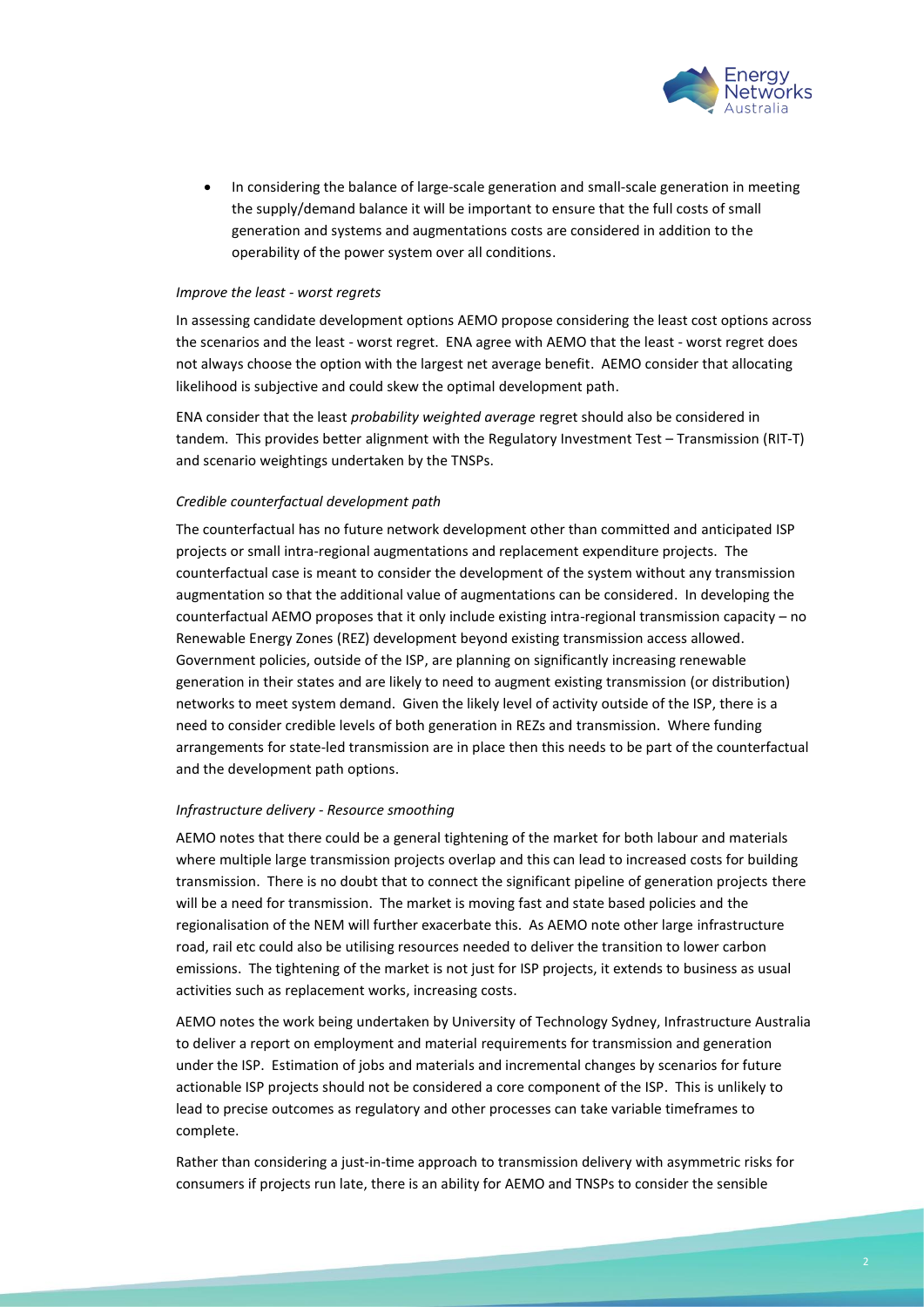

• In considering the balance of large-scale generation and small-scale generation in meeting the supply/demand balance it will be important to ensure that the full costs of small generation and systems and augmentations costs are considered in addition to the operability of the power system over all conditions.

#### *Improve the least - worst regrets*

In assessing candidate development options AEMO propose considering the least cost options across the scenarios and the least - worst regret. ENA agree with AEMO that the least - worst regret does not always choose the option with the largest net average benefit. AEMO consider that allocating likelihood is subjective and could skew the optimal development path.

ENA consider that the least *probability weighted average* regret should also be considered in tandem. This provides better alignment with the Regulatory Investment Test – Transmission (RIT-T) and scenario weightings undertaken by the TNSPs.

# *Credible counterfactual development path*

The counterfactual has no future network development other than committed and anticipated ISP projects or small intra-regional augmentations and replacement expenditure projects. The counterfactual case is meant to consider the development of the system without any transmission augmentation so that the additional value of augmentations can be considered. In developing the counterfactual AEMO proposes that it only include existing intra-regional transmission capacity – no Renewable Energy Zones (REZ) development beyond existing transmission access allowed. Government policies, outside of the ISP, are planning on significantly increasing renewable generation in their states and are likely to need to augment existing transmission (or distribution) networks to meet system demand. Given the likely level of activity outside of the ISP, there is a need to consider credible levels of both generation in REZs and transmission. Where funding arrangements for state-led transmission are in place then this needs to be part of the counterfactual and the development path options.

#### *Infrastructure delivery - Resource smoothing*

AEMO notes that there could be a general tightening of the market for both labour and materials where multiple large transmission projects overlap and this can lead to increased costs for building transmission. There is no doubt that to connect the significant pipeline of generation projects there will be a need for transmission. The market is moving fast and state based policies and the regionalisation of the NEM will further exacerbate this. As AEMO note other large infrastructure road, rail etc could also be utilising resources needed to deliver the transition to lower carbon emissions. The tightening of the market is not just for ISP projects, it extends to business as usual activities such as replacement works, increasing costs.

AEMO notes the work being undertaken by University of Technology Sydney, Infrastructure Australia to deliver a report on employment and material requirements for transmission and generation under the ISP. Estimation of jobs and materials and incremental changes by scenarios for future actionable ISP projects should not be considered a core component of the ISP. This is unlikely to lead to precise outcomes as regulatory and other processes can take variable timeframes to complete.

Rather than considering a just-in-time approach to transmission delivery with asymmetric risks for consumers if projects run late, there is an ability for AEMO and TNSPs to consider the sensible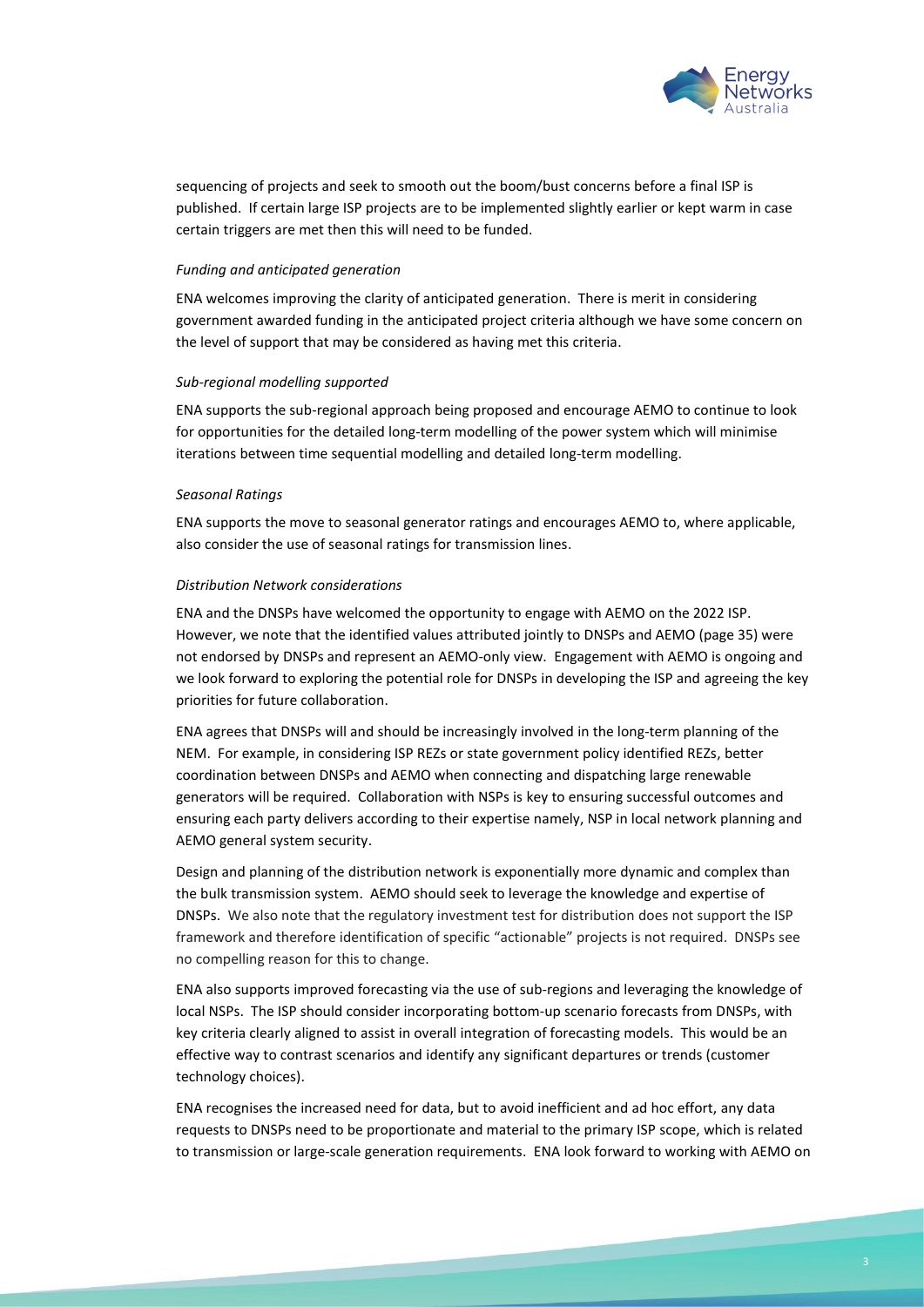

sequencing of projects and seek to smooth out the boom/bust concerns before a final ISP is published. If certain large ISP projects are to be implemented slightly earlier or kept warm in case certain triggers are met then this will need to be funded.

#### *Funding and anticipated generation*

ENA welcomes improving the clarity of anticipated generation. There is merit in considering government awarded funding in the anticipated project criteria although we have some concern on the level of support that may be considered as having met this criteria.

# *Sub-regional modelling supported*

ENA supports the sub-regional approach being proposed and encourage AEMO to continue to look for opportunities for the detailed long-term modelling of the power system which will minimise iterations between time sequential modelling and detailed long-term modelling.

# *Seasonal Ratings*

ENA supports the move to seasonal generator ratings and encourages AEMO to, where applicable, also consider the use of seasonal ratings for transmission lines.

# *Distribution Network considerations*

ENA and the DNSPs have welcomed the opportunity to engage with AEMO on the 2022 ISP. However, we note that the identified values attributed jointly to DNSPs and AEMO (page 35) were not endorsed by DNSPs and represent an AEMO-only view. Engagement with AEMO is ongoing and we look forward to exploring the potential role for DNSPs in developing the ISP and agreeing the key priorities for future collaboration.

ENA agrees that DNSPs will and should be increasingly involved in the long-term planning of the NEM. For example, in considering ISP REZs or state government policy identified REZs, better coordination between DNSPs and AEMO when connecting and dispatching large renewable generators will be required. Collaboration with NSPs is key to ensuring successful outcomes and ensuring each party delivers according to their expertise namely, NSP in local network planning and AEMO general system security.

Design and planning of the distribution network is exponentially more dynamic and complex than the bulk transmission system. AEMO should seek to leverage the knowledge and expertise of DNSPs. We also note that the regulatory investment test for distribution does not support the ISP framework and therefore identification of specific "actionable" projects is not required. DNSPs see no compelling reason for this to change.

ENA also supports improved forecasting via the use of sub-regions and leveraging the knowledge of local NSPs. The ISP should consider incorporating bottom-up scenario forecasts from DNSPs, with key criteria clearly aligned to assist in overall integration of forecasting models. This would be an effective way to contrast scenarios and identify any significant departures or trends (customer technology choices).

ENA recognises the increased need for data, but to avoid inefficient and ad hoc effort, any data requests to DNSPs need to be proportionate and material to the primary ISP scope, which is related to transmission or large-scale generation requirements. ENA look forward to working with AEMO on